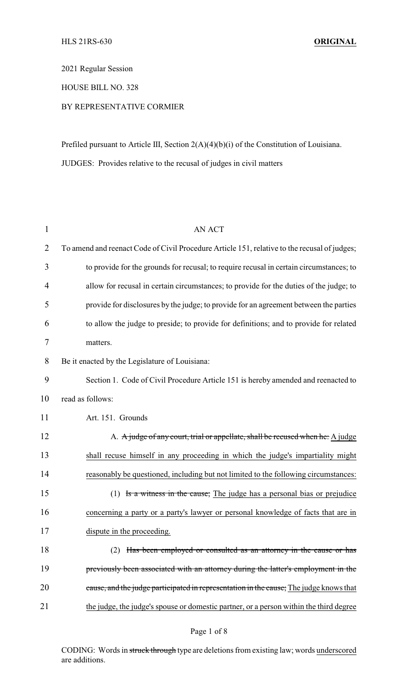2021 Regular Session

HOUSE BILL NO. 328

## BY REPRESENTATIVE CORMIER

Prefiled pursuant to Article III, Section 2(A)(4)(b)(i) of the Constitution of Louisiana. JUDGES: Provides relative to the recusal of judges in civil matters

| $\mathbf{1}$   | <b>AN ACT</b>                                                                                |  |
|----------------|----------------------------------------------------------------------------------------------|--|
| $\overline{2}$ | To amend and reenact Code of Civil Procedure Article 151, relative to the recusal of judges; |  |
| 3              | to provide for the grounds for recusal; to require recusal in certain circumstances; to      |  |
| $\overline{4}$ | allow for recusal in certain circumstances; to provide for the duties of the judge; to       |  |
| 5              | provide for disclosures by the judge; to provide for an agreement between the parties        |  |
| 6              | to allow the judge to preside; to provide for definitions; and to provide for related        |  |
| $\tau$         | matters.                                                                                     |  |
| 8              | Be it enacted by the Legislature of Louisiana:                                               |  |
| 9              | Section 1. Code of Civil Procedure Article 151 is hereby amended and reenacted to            |  |
| 10             | read as follows:                                                                             |  |
| 11             | Art. 151. Grounds                                                                            |  |
| 12             | A. A judge of any court, trial or appellate, shall be recused when he: A judge               |  |
| 13             | shall recuse himself in any proceeding in which the judge's impartiality might               |  |
| 14             | reasonably be questioned, including but not limited to the following circumstances:          |  |
| 15             | (1) Is a witness in the cause; The judge has a personal bias or prejudice                    |  |
| 16             | concerning a party or a party's lawyer or personal knowledge of facts that are in            |  |
| 17             | dispute in the proceeding.                                                                   |  |
| 18             | Has been employed or consulted as an attorney in the cause or has<br>(2)                     |  |
| 19             | previously been associated with an attorney during the latter's employment in the            |  |
| 20             | cause, and the judge participated in representation in the cause; The judge knows that       |  |
| 21             | the judge, the judge's spouse or domestic partner, or a person within the third degree       |  |

CODING: Words in struck through type are deletions from existing law; words underscored are additions.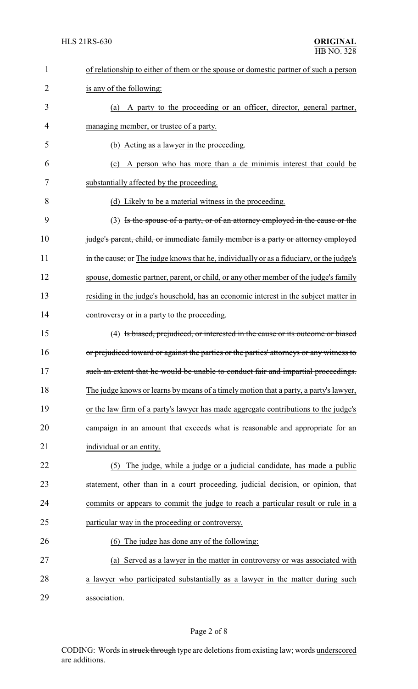| $\mathbf{1}$   | of relationship to either of them or the spouse or domestic partner of such a person     |
|----------------|------------------------------------------------------------------------------------------|
| $\overline{2}$ | is any of the following:                                                                 |
| 3              | A party to the proceeding or an officer, director, general partner,<br>(a)               |
| $\overline{4}$ | managing member, or trustee of a party.                                                  |
| 5              | (b) Acting as a lawyer in the proceeding.                                                |
| 6              | A person who has more than a de minimis interest that could be<br>(c)                    |
| 7              | substantially affected by the proceeding.                                                |
| 8              | (d) Likely to be a material witness in the proceeding.                                   |
| 9              | (3) Is the spouse of a party, or of an attorney employed in the cause or the             |
| 10             | judge's parent, child, or immediate family member is a party or attorney employed        |
| 11             | in the cause; or The judge knows that he, individually or as a fiduciary, or the judge's |
| 12             | spouse, domestic partner, parent, or child, or any other member of the judge's family    |
| 13             | residing in the judge's household, has an economic interest in the subject matter in     |
| 14             | controversy or in a party to the proceeding.                                             |
| 15             | (4) Is biased, prejudiced, or interested in the cause or its outcome or biased           |
| 16             | or prejudiced toward or against the parties or the parties' attorneys or any witness to  |
| 17             | such an extent that he would be unable to conduct fair and impartial proceedings.        |
| 18             | The judge knows or learns by means of a timely motion that a party, a party's lawyer,    |
| 19             | or the law firm of a party's lawyer has made aggregate contributions to the judge's      |
| 20             | campaign in an amount that exceeds what is reasonable and appropriate for an             |
| 21             | individual or an entity.                                                                 |
| 22             | The judge, while a judge or a judicial candidate, has made a public<br>(5)               |
| 23             | statement, other than in a court proceeding, judicial decision, or opinion, that         |
| 24             | commits or appears to commit the judge to reach a particular result or rule in a         |
| 25             | particular way in the proceeding or controversy.                                         |
| 26             | (6) The judge has done any of the following:                                             |
| 27             | (a) Served as a lawyer in the matter in controversy or was associated with               |
| 28             | a lawyer who participated substantially as a lawyer in the matter during such            |
| 29             | association.                                                                             |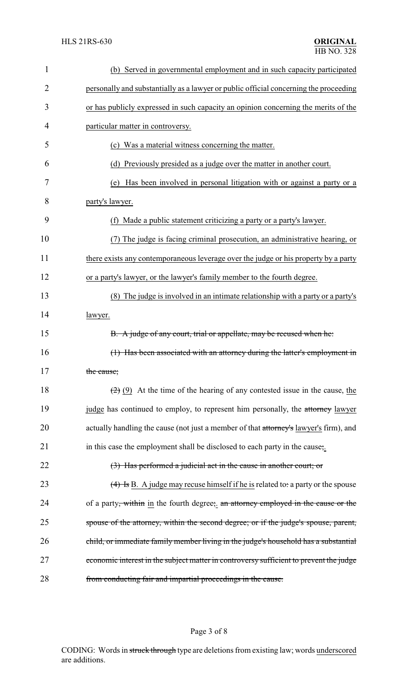| $\mathbf{1}$   | (b) Served in governmental employment and in such capacity participated                       |
|----------------|-----------------------------------------------------------------------------------------------|
| $\overline{2}$ | personally and substantially as a lawyer or public official concerning the proceeding         |
| 3              | or has publicly expressed in such capacity an opinion concerning the merits of the            |
| 4              | particular matter in controversy.                                                             |
| 5              | (c) Was a material witness concerning the matter.                                             |
| 6              | (d) Previously presided as a judge over the matter in another court.                          |
| 7              | Has been involved in personal litigation with or against a party or a<br>(e)                  |
| 8              | party's lawyer.                                                                               |
| 9              | (f) Made a public statement criticizing a party or a party's lawyer.                          |
| 10             | (7) The judge is facing criminal prosecution, an administrative hearing, or                   |
| 11             | there exists any contemporaneous leverage over the judge or his property by a party           |
| 12             | or a party's lawyer, or the lawyer's family member to the fourth degree.                      |
| 13             | (8) The judge is involved in an intimate relationship with a party or a party's               |
| 14             | lawyer.                                                                                       |
| 15             | B. A judge of any court, trial or appellate, may be recused when he:                          |
| 16             | (1) Has been associated with an attorney during the latter's employment in                    |
| 17             | the cause;                                                                                    |
| 18             | $(2)$ (9) At the time of the hearing of any contested issue in the cause, the                 |
| 19             | judge has continued to employ, to represent him personally, the attorney lawyer               |
| 20             | actually handling the cause (not just a member of that attorney's lawyer's firm), and         |
| 21             | in this case the employment shall be disclosed to each party in the cause;.                   |
| 22             | $(3)$ Has performed a judicial act in the cause in another court; or                          |
| 23             | $\overline{(4)}$ Is B. A judge may recuse himself if he is related to: a party or the spouse  |
| 24             | of a party <del>, within</del> in the fourth degree; an attorney employed in the cause or the |
| 25             | spouse of the attorney, within the second degree; or if the judge's spouse, parent,           |
| 26             | child, or immediate family member living in the judge's household has a substantial           |
| 27             | economic interest in the subject matter in controversy sufficient to prevent the judge        |
| 28             | from conducting fair and impartial proceedings in the cause.                                  |

## Page 3 of 8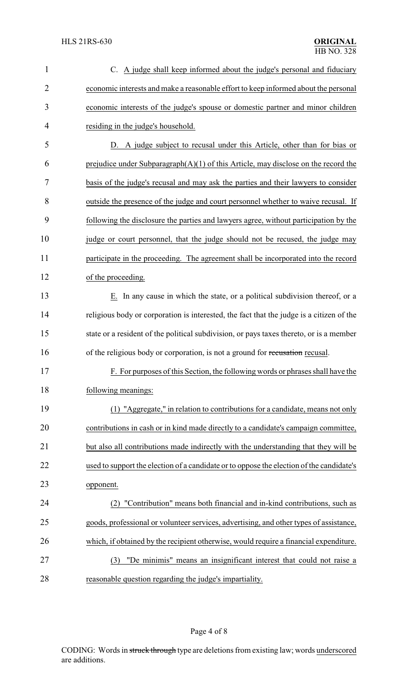| $\mathbf{1}$   | C. A judge shall keep informed about the judge's personal and fiduciary                  |
|----------------|------------------------------------------------------------------------------------------|
| $\overline{2}$ | economic interests and make a reasonable effort to keep informed about the personal      |
| 3              | economic interests of the judge's spouse or domestic partner and minor children          |
| $\overline{4}$ | residing in the judge's household.                                                       |
| 5              | D. A judge subject to recusal under this Article, other than for bias or                 |
| 6              | prejudice under Subparagraph $(A)(1)$ of this Article, may disclose on the record the    |
| 7              | basis of the judge's recusal and may ask the parties and their lawyers to consider       |
| 8              | outside the presence of the judge and court personnel whether to waive recusal. If       |
| 9              | following the disclosure the parties and lawyers agree, without participation by the     |
| 10             | judge or court personnel, that the judge should not be recused, the judge may            |
| 11             | participate in the proceeding. The agreement shall be incorporated into the record       |
| 12             | of the proceeding.                                                                       |
| 13             | In any cause in which the state, or a political subdivision thereof, or a<br>Е.          |
| 14             | religious body or corporation is interested, the fact that the judge is a citizen of the |
| 15             | state or a resident of the political subdivision, or pays taxes thereto, or is a member  |
| 16             | of the religious body or corporation, is not a ground for recusation recusal.            |
| 17             | F. For purposes of this Section, the following words or phrases shall have the           |
| 18             | following meanings:                                                                      |
| 19             | (1) "Aggregate," in relation to contributions for a candidate, means not only            |
| 20             | contributions in cash or in kind made directly to a candidate's campaign committee,      |
| 21             | but also all contributions made indirectly with the understanding that they will be      |
| 22             | used to support the election of a candidate or to oppose the election of the candidate's |
| 23             | opponent.                                                                                |
| 24             | (2) "Contribution" means both financial and in-kind contributions, such as               |
| 25             | goods, professional or volunteer services, advertising, and other types of assistance,   |
| 26             | which, if obtained by the recipient otherwise, would require a financial expenditure.    |
| 27             | "De minimis" means an insignificant interest that could not raise a<br>(3)               |
| 28             | reasonable question regarding the judge's impartiality.                                  |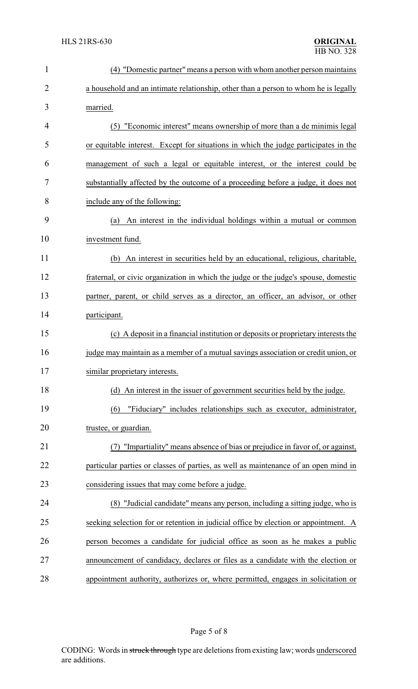| $\mathbf{1}$   | (4) "Domestic partner" means a person with whom another person maintains            |
|----------------|-------------------------------------------------------------------------------------|
| $\overline{2}$ | a household and an intimate relationship, other than a person to whom he is legally |
| 3              | married.                                                                            |
| 4              | (5) "Economic interest" means ownership of more than a de minimis legal             |
| 5              | or equitable interest. Except for situations in which the judge participates in the |
| 6              | management of such a legal or equitable interest, or the interest could be          |
| 7              | substantially affected by the outcome of a proceeding before a judge, it does not   |
| 8              | include any of the following:                                                       |
| 9              | An interest in the individual holdings within a mutual or common<br>(a)             |
| 10             | investment fund.                                                                    |
| 11             | (b) An interest in securities held by an educational, religious, charitable,        |
| 12             | fraternal, or civic organization in which the judge or the judge's spouse, domestic |
| 13             | partner, parent, or child serves as a director, an officer, an advisor, or other    |
| 14             | participant.                                                                        |
| 15             | (c) A deposit in a financial institution or deposits or proprietary interests the   |
| 16             | judge may maintain as a member of a mutual savings association or credit union, or  |
| 17             | similar proprietary interests.                                                      |
| 18             | (d) An interest in the issuer of government securities held by the judge.           |
| 19             | "Fiduciary" includes relationships such as executor, administrator,<br>(6)          |
| 20             | trustee, or guardian.                                                               |
| 21             | "Impartiality" means absence of bias or prejudice in favor of, or against,          |
| 22             | particular parties or classes of parties, as well as maintenance of an open mind in |
| 23             | considering issues that may come before a judge.                                    |
| 24             | (8) "Judicial candidate" means any person, including a sitting judge, who is        |
| 25             | seeking selection for or retention in judicial office by election or appointment. A |
| 26             | person becomes a candidate for judicial office as soon as he makes a public         |
| 27             | announcement of candidacy, declares or files as a candidate with the election or    |
| 28             | appointment authority, authorizes or, where permitted, engages in solicitation or   |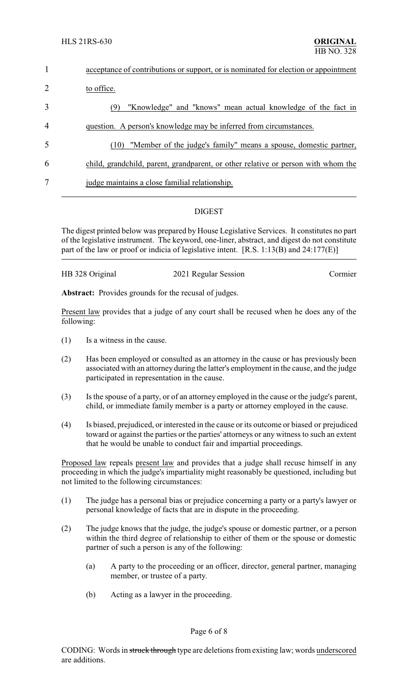|                | acceptance of contributions or support, or is nominated for election or appointment |
|----------------|-------------------------------------------------------------------------------------|
| $\overline{2}$ | to office.                                                                          |
| 3              | "Knowledge" and "knows" mean actual knowledge of the fact in<br>(9)                 |
| $\overline{4}$ | question. A person's knowledge may be inferred from circumstances.                  |
| 5              | "Member of the judge's family" means a spouse, domestic partner,<br>(10)            |
| 6              | child, grandchild, parent, grandparent, or other relative or person with whom the   |
| 7              | judge maintains a close familial relationship.                                      |
|                |                                                                                     |

## DIGEST

The digest printed below was prepared by House Legislative Services. It constitutes no part of the legislative instrument. The keyword, one-liner, abstract, and digest do not constitute part of the law or proof or indicia of legislative intent. [R.S. 1:13(B) and 24:177(E)]

| HB 328 Original | 2021 Regular Session | Cormier |
|-----------------|----------------------|---------|
|                 |                      |         |

**Abstract:** Provides grounds for the recusal of judges.

Present law provides that a judge of any court shall be recused when he does any of the following:

- (1) Is a witness in the cause.
- (2) Has been employed or consulted as an attorney in the cause or has previously been associated with an attorney during the latter's employment in the cause, and the judge participated in representation in the cause.
- (3) Is the spouse of a party, or of an attorney employed in the cause or the judge's parent, child, or immediate family member is a party or attorney employed in the cause.
- (4) Is biased, prejudiced, or interested in the cause or its outcome or biased or prejudiced toward or against the parties or the parties' attorneys or any witness to such an extent that he would be unable to conduct fair and impartial proceedings.

Proposed law repeals present law and provides that a judge shall recuse himself in any proceeding in which the judge's impartiality might reasonably be questioned, including but not limited to the following circumstances:

- (1) The judge has a personal bias or prejudice concerning a party or a party's lawyer or personal knowledge of facts that are in dispute in the proceeding.
- (2) The judge knows that the judge, the judge's spouse or domestic partner, or a person within the third degree of relationship to either of them or the spouse or domestic partner of such a person is any of the following:
	- (a) A party to the proceeding or an officer, director, general partner, managing member, or trustee of a party.
	- (b) Acting as a lawyer in the proceeding.

Page 6 of 8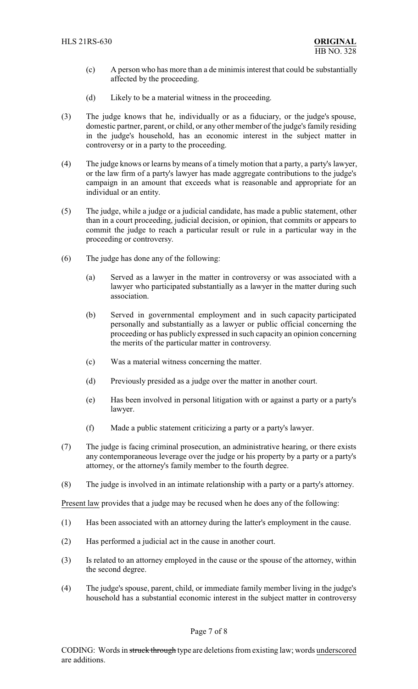- (c) A person who has more than a de minimis interest that could be substantially affected by the proceeding.
- (d) Likely to be a material witness in the proceeding.
- (3) The judge knows that he, individually or as a fiduciary, or the judge's spouse, domestic partner, parent, or child, or any other member of the judge's family residing in the judge's household, has an economic interest in the subject matter in controversy or in a party to the proceeding.
- (4) The judge knows or learns by means of a timely motion that a party, a party's lawyer, or the law firm of a party's lawyer has made aggregate contributions to the judge's campaign in an amount that exceeds what is reasonable and appropriate for an individual or an entity.
- (5) The judge, while a judge or a judicial candidate, has made a public statement, other than in a court proceeding, judicial decision, or opinion, that commits or appears to commit the judge to reach a particular result or rule in a particular way in the proceeding or controversy.
- (6) The judge has done any of the following:
	- (a) Served as a lawyer in the matter in controversy or was associated with a lawyer who participated substantially as a lawyer in the matter during such association.
	- (b) Served in governmental employment and in such capacity participated personally and substantially as a lawyer or public official concerning the proceeding or has publicly expressed in such capacity an opinion concerning the merits of the particular matter in controversy.
	- (c) Was a material witness concerning the matter.
	- (d) Previously presided as a judge over the matter in another court.
	- (e) Has been involved in personal litigation with or against a party or a party's lawyer.
	- (f) Made a public statement criticizing a party or a party's lawyer.
- (7) The judge is facing criminal prosecution, an administrative hearing, or there exists any contemporaneous leverage over the judge or his property by a party or a party's attorney, or the attorney's family member to the fourth degree.
- (8) The judge is involved in an intimate relationship with a party or a party's attorney.

Present law provides that a judge may be recused when he does any of the following:

- (1) Has been associated with an attorney during the latter's employment in the cause.
- (2) Has performed a judicial act in the cause in another court.
- (3) Is related to an attorney employed in the cause or the spouse of the attorney, within the second degree.
- (4) The judge's spouse, parent, child, or immediate family member living in the judge's household has a substantial economic interest in the subject matter in controversy